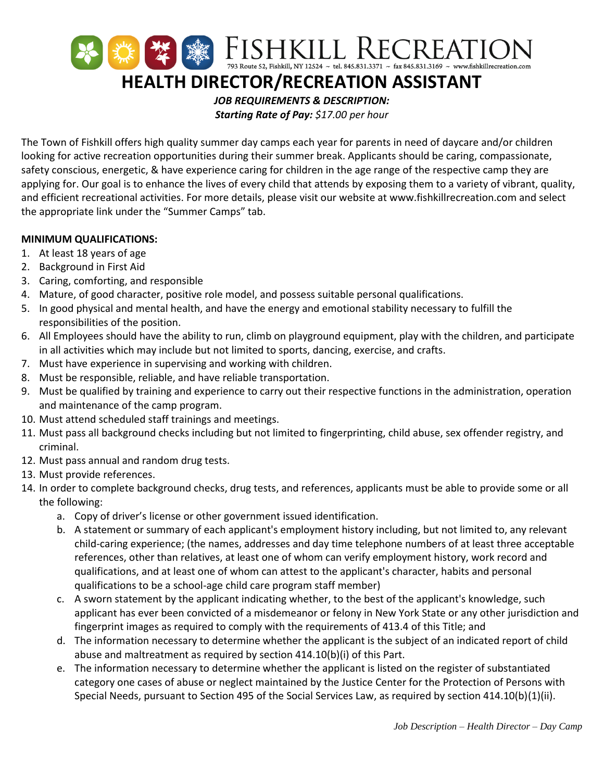

*Starting Rate of Pay: \$17.00 per hour*

The Town of Fishkill offers high quality summer day camps each year for parents in need of daycare and/or children looking for active recreation opportunities during their summer break. Applicants should be caring, compassionate, safety conscious, energetic, & have experience caring for children in the age range of the respective camp they are applying for. Our goal is to enhance the lives of every child that attends by exposing them to a variety of vibrant, quality, and efficient recreational activities. For more details, please visit our website at www.fishkillrecreation.com and select the appropriate link under the "Summer Camps" tab.

## **MINIMUM QUALIFICATIONS:**

- 1. At least 18 years of age
- 2. Background in First Aid
- 3. Caring, comforting, and responsible
- 4. Mature, of good character, positive role model, and possess suitable personal qualifications.
- 5. In good physical and mental health, and have the energy and emotional stability necessary to fulfill the responsibilities of the position.
- 6. All Employees should have the ability to run, climb on playground equipment, play with the children, and participate in all activities which may include but not limited to sports, dancing, exercise, and crafts.
- 7. Must have experience in supervising and working with children.
- 8. Must be responsible, reliable, and have reliable transportation.
- 9. Must be qualified by training and experience to carry out their respective functions in the administration, operation and maintenance of the camp program.
- 10. Must attend scheduled staff trainings and meetings.
- 11. Must pass all background checks including but not limited to fingerprinting, child abuse, sex offender registry, and criminal.
- 12. Must pass annual and random drug tests.
- 13. Must provide references.
- 14. In order to complete background checks, drug tests, and references, applicants must be able to provide some or all the following:
	- a. Copy of driver's license or other government issued identification.
	- b. A statement or summary of each applicant's employment history including, but not limited to, any relevant child-caring experience; (the names, addresses and day time telephone numbers of at least three acceptable references, other than relatives, at least one of whom can verify employment history, work record and qualifications, and at least one of whom can attest to the applicant's character, habits and personal qualifications to be a school-age child care program staff member)
	- c. A sworn statement by the applicant indicating whether, to the best of the applicant's knowledge, such applicant has ever been convicted of a misdemeanor or felony in New York State or any other jurisdiction and fingerprint images as required to comply with the requirements of 413.4 of this Title; and
	- d. The information necessary to determine whether the applicant is the subject of an indicated report of child abuse and maltreatment as required by section 414.10(b)(i) of this Part.
	- e. The information necessary to determine whether the applicant is listed on the register of substantiated category one cases of abuse or neglect maintained by the Justice Center for the Protection of Persons with Special Needs, pursuant to Section 495 of the Social Services Law, as required by section 414.10(b)(1)(ii).